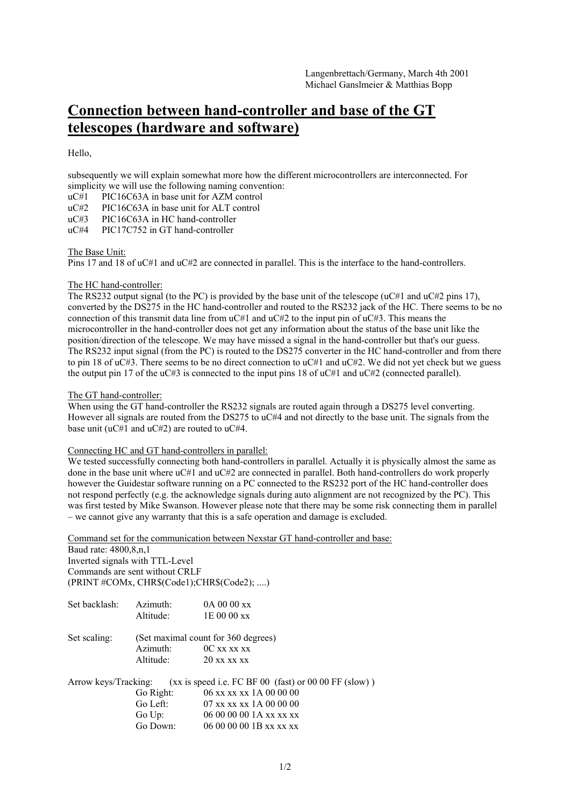# **Connection between hand-controller and base of the GT telescopes (hardware and software)**

Hello,

subsequently we will explain somewhat more how the different microcontrollers are interconnected. For simplicity we will use the following naming convention:

uC#1 PIC16C63A in base unit for AZM control

uC#2 PIC16C63A in base unit for ALT control

uC#3 PIC16C63A in HC hand-controller

uC#4 PIC17C752 in GT hand-controller

### The Base Unit:

Pins 17 and 18 of uC#1 and uC#2 are connected in parallel. This is the interface to the hand-controllers.

### The HC hand-controller:

The RS232 output signal (to the PC) is provided by the base unit of the telescope ( $\mu$ C#1 and  $\mu$ C#2 pins 17), converted by the DS275 in the HC hand-controller and routed to the RS232 jack of the HC. There seems to be no connection of this transmit data line from  $uC#1$  and  $uC#2$  to the input pin of  $uC#3$ . This means the microcontroller in the hand-controller does not get any information about the status of the base unit like the position/direction of the telescope. We may have missed a signal in the hand-controller but that's our guess. The RS232 input signal (from the PC) is routed to the DS275 converter in the HC hand-controller and from there to pin 18 of uC#3. There seems to be no direct connection to uC#1 and uC#2. We did not yet check but we guess the output pin 17 of the uC#3 is connected to the input pins 18 of uC#1 and uC#2 (connected parallel).

## The GT hand-controller:

When using the GT hand-controller the RS232 signals are routed again through a DS275 level converting. However all signals are routed from the DS275 to uC#4 and not directly to the base unit. The signals from the base unit (uC#1 and uC#2) are routed to uC#4.

### Connecting HC and GT hand-controllers in parallel:

We tested successfully connecting both hand-controllers in parallel. Actually it is physically almost the same as done in the base unit where uC#1 and uC#2 are connected in parallel. Both hand-controllers do work properly however the Guidestar software running on a PC connected to the RS232 port of the HC hand-controller does not respond perfectly (e.g. the acknowledge signals during auto alignment are not recognized by the PC). This was first tested by Mike Swanson. However please note that there may be some risk connecting them in parallel – we cannot give any warranty that this is a safe operation and damage is excluded.

Command set for the communication between Nexstar GT hand-controller and base:

Baud rate: 4800,8,n,1 Inverted signals with TTL-Level Commands are sent without CRLF (PRINT #COMx, CHR\$(Code1);CHR\$(Code2); ....)

| Set backlash: | Azimuth:  | 0A 00 00 xx                                                                |
|---------------|-----------|----------------------------------------------------------------------------|
|               | Altitude: | 1E 00 00 xx                                                                |
| Set scaling:  |           | (Set maximal count for 360 degrees)                                        |
|               | Azimuth:  | OC xx xx xx                                                                |
|               | Altitude: | 20 xx xx xx                                                                |
|               |           | Arrow keys/Tracking: (xx is speed i.e. FC BF 00 (fast) or 00 00 FF (slow)) |
|               | Go Right: | 06 xx xx xx 1A 00 00 00                                                    |
|               | Go Left:  | 07 xx xx xx 1A 00 00 00                                                    |
|               | Go $Up:$  | 06 00 00 00 1A xx xx xx                                                    |
|               | Go Down:  | 06 00 00 00 1B xx xx xx                                                    |